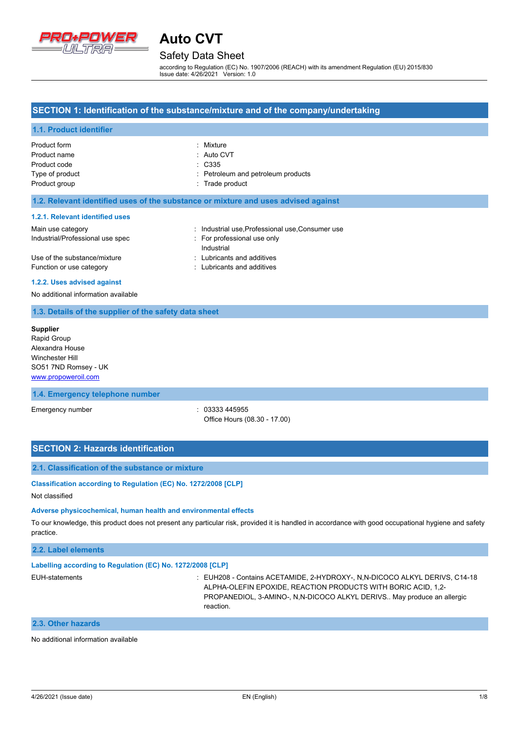

## Safety Data Sheet

according to Regulation (EC) No. 1907/2006 (REACH) with its amendment Regulation (EU) 2015/830 Issue date: 4/26/2021 Version: 1.0

### **SECTION 1: Identification of the substance/mixture and of the company/undertaking**

#### **1.1. Product identifier**

| Product form    | : Mixture                          |
|-----------------|------------------------------------|
| Product name    | : Auto CVT                         |
| Product code    | : C335                             |
| Type of product | : Petroleum and petroleum products |
| Product group   | : Trade product                    |

#### **1.2. Relevant identified uses of the substance or mixture and uses advised against**

#### **1.2.1. Relevant identified uses**

| Main use category                | : Industrial use, Professional use, Consumer use |
|----------------------------------|--------------------------------------------------|
| Industrial/Professional use spec | : For professional use only                      |
|                                  | Industrial                                       |
| Use of the substance/mixture     | : Lubricants and additives                       |
| Function or use category         | : Lubricants and additives                       |

#### **1.2.2. Uses advised against**

No additional information available

#### **1.3. Details of the supplier of the safety data sheet**

**Supplier** Rapid Group Alexandra House Winchester Hill SO51 7ND Romsey - UK <www.propoweroil.com>

#### **1.4. Emergency telephone number**

Emergency number : 03333 445955 Office Hours (08.30 - 17.00)

#### **SECTION 2: Hazards identification**

#### **2.1. Classification of the substance or mixture**

**Classification according to Regulation (EC) No. 1272/2008 [CLP]**

#### Not classified

#### **Adverse physicochemical, human health and environmental effects**

To our knowledge, this product does not present any particular risk, provided it is handled in accordance with good occupational hygiene and safety practice.

### **2.2. Label elements**

#### **Labelling according to Regulation (EC) No. 1272/2008 [CLP]**

EUH-statements : EUH208 - Contains ACETAMIDE, 2-HYDROXY-, N,N-DICOCO ALKYL DERIVS, C14-18 ALPHA-OLEFIN EPOXIDE, REACTION PRODUCTS WITH BORIC ACID, 1,2- PROPANEDIOL, 3-AMINO-, N,N-DICOCO ALKYL DERIVS.. May produce an allergic reaction.

#### **2.3. Other hazards**

No additional information available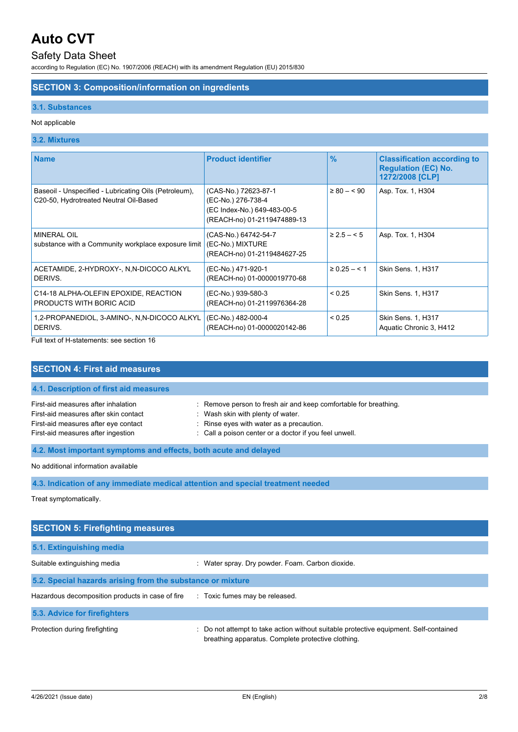# Safety Data Sheet

according to Regulation (EC) No. 1907/2006 (REACH) with its amendment Regulation (EU) 2015/830

# **SECTION 3: Composition/information on ingredients**

## **3.1. Substances**

## Not applicable

## **3.2. Mixtures**

| <b>Name</b>                                                                                     | <b>Product identifier</b>                                                                                | $\frac{9}{6}$     | <b>Classification according to</b><br><b>Regulation (EC) No.</b><br>1272/2008 [CLP] |
|-------------------------------------------------------------------------------------------------|----------------------------------------------------------------------------------------------------------|-------------------|-------------------------------------------------------------------------------------|
| Baseoil - Unspecified - Lubricating Oils (Petroleum),<br>C20-50, Hydrotreated Neutral Oil-Based | (CAS-No.) 72623-87-1<br>(EC-No.) 276-738-4<br>(EC Index-No.) 649-483-00-5<br>(REACH-no) 01-2119474889-13 | $\geq 80 - 90$    | Asp. Tox. 1, H304                                                                   |
| <b>MINERAL OIL</b><br>substance with a Community workplace exposure limit                       | (CAS-No.) 64742-54-7<br>(EC-No.) MIXTURE<br>(REACH-no) 01-2119484627-25                                  | $\geq 2.5 - 5$    | Asp. Tox. 1, H304                                                                   |
| ACETAMIDE, 2-HYDROXY-, N,N-DICOCO ALKYL<br>DERIVS.                                              | (EC-No.) 471-920-1<br>(REACH-no) 01-0000019770-68                                                        | $\geq 0.25 - 5.1$ | Skin Sens. 1, H317                                                                  |
| C14-18 ALPHA-OLEFIN EPOXIDE, REACTION<br>PRODUCTS WITH BORIC ACID                               | (EC-No.) 939-580-3<br>(REACH-no) 01-2119976364-28                                                        | < 0.25            | Skin Sens. 1, H317                                                                  |
| 1,2-PROPANEDIOL, 3-AMINO-, N,N-DICOCO ALKYL<br>DERIVS.                                          | (EC-No.) 482-000-4<br>(REACH-no) 01-0000020142-86                                                        | < 0.25            | Skin Sens. 1, H317<br>Aquatic Chronic 3, H412                                       |

Full text of H-statements: see section 16

| <b>SECTION 4: First aid measures</b>                                                                                                                       |                                                                                                                                                                                                           |  |
|------------------------------------------------------------------------------------------------------------------------------------------------------------|-----------------------------------------------------------------------------------------------------------------------------------------------------------------------------------------------------------|--|
| 4.1. Description of first aid measures                                                                                                                     |                                                                                                                                                                                                           |  |
| First-aid measures after inhalation<br>First-aid measures after skin contact<br>First-aid measures after eye contact<br>First-aid measures after ingestion | : Remove person to fresh air and keep comfortable for breathing.<br>Wash skin with plenty of water.<br>: Rinse eyes with water as a precaution.<br>: Call a poison center or a doctor if you feel unwell. |  |
| 4.2. Most important symptoms and effects, both acute and delayed                                                                                           |                                                                                                                                                                                                           |  |
| No additional information available                                                                                                                        |                                                                                                                                                                                                           |  |
| 4.3. Indication of any immediate medical attention and special treatment needed                                                                            |                                                                                                                                                                                                           |  |
| Treat symptomatically.                                                                                                                                     |                                                                                                                                                                                                           |  |
| <b>SECTION 5: Firefighting measures</b>                                                                                                                    |                                                                                                                                                                                                           |  |
| 5.1. Extinguishing media                                                                                                                                   |                                                                                                                                                                                                           |  |
| Suitable extinguishing media                                                                                                                               | : Water spray. Dry powder. Foam. Carbon dioxide.                                                                                                                                                          |  |
| 5.2. Special hazards arising from the substance or mixture                                                                                                 |                                                                                                                                                                                                           |  |
| Hazardous decomposition products in case of fire                                                                                                           | : Toxic fumes may be released.                                                                                                                                                                            |  |
| 5.3. Advice for firefighters                                                                                                                               |                                                                                                                                                                                                           |  |

Protection during firefighting **intercontained** : Do not attempt to take action without suitable protective equipment. Self-contained breathing apparatus. Complete protective clothing.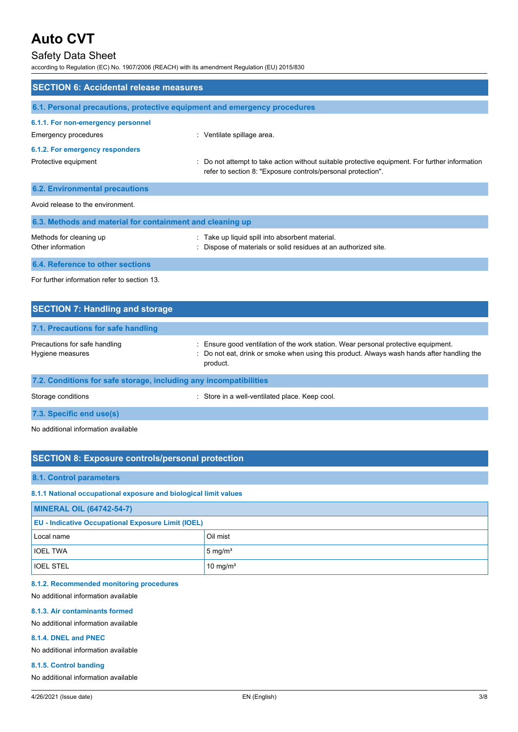# Safety Data Sheet

according to Regulation (EC) No. 1907/2006 (REACH) with its amendment Regulation (EU) 2015/830

| <b>SECTION 6: Accidental release measures</b>                            |                                                                                                                                                              |  |
|--------------------------------------------------------------------------|--------------------------------------------------------------------------------------------------------------------------------------------------------------|--|
| 6.1. Personal precautions, protective equipment and emergency procedures |                                                                                                                                                              |  |
| 6.1.1. For non-emergency personnel<br>Emergency procedures               | : Ventilate spillage area.                                                                                                                                   |  |
| 6.1.2. For emergency responders                                          |                                                                                                                                                              |  |
| Protective equipment                                                     | Do not attempt to take action without suitable protective equipment. For further information<br>refer to section 8: "Exposure controls/personal protection". |  |
| <b>6.2. Environmental precautions</b>                                    |                                                                                                                                                              |  |
| Avoid release to the environment                                         |                                                                                                                                                              |  |
| 6.3. Methods and material for containment and cleaning up                |                                                                                                                                                              |  |
| Methods for cleaning up<br>Other information                             | : Take up liquid spill into absorbent material.<br>Dispose of materials or solid residues at an authorized site.                                             |  |
| 6.4. Reference to other sections                                         |                                                                                                                                                              |  |
| For further information refer to section 13                              |                                                                                                                                                              |  |

| <b>SECTION 7: Handling and storage</b>                            |                                                                                                                                                                                            |  |
|-------------------------------------------------------------------|--------------------------------------------------------------------------------------------------------------------------------------------------------------------------------------------|--|
| 7.1. Precautions for safe handling                                |                                                                                                                                                                                            |  |
| Precautions for safe handling<br>Hygiene measures                 | Ensure good ventilation of the work station. Wear personal protective equipment.<br>: Do not eat, drink or smoke when using this product. Always wash hands after handling the<br>product. |  |
| 7.2. Conditions for safe storage, including any incompatibilities |                                                                                                                                                                                            |  |
| Storage conditions                                                | Store in a well-ventilated place. Keep cool.                                                                                                                                               |  |

**7.3. Specific end use(s)**

No additional information available

## **SECTION 8: Exposure controls/personal protection**

#### **8.1. Control parameters**

**8.1.1 National occupational exposure and biological limit values**

| <b>MINERAL OIL (64742-54-7)</b>                           |                      |  |
|-----------------------------------------------------------|----------------------|--|
| <b>EU - Indicative Occupational Exposure Limit (IOEL)</b> |                      |  |
| Local name                                                | Oil mist             |  |
| <b>IOEL TWA</b>                                           | $5 \text{ mg/m}^3$   |  |
| <b>IOEL STEL</b>                                          | 10 mg/m <sup>3</sup> |  |

#### **8.1.2. Recommended monitoring procedures**

No additional information available

#### **8.1.3. Air contaminants formed**

No additional information available

#### **8.1.4. DNEL and PNEC**

No additional information available

#### **8.1.5. Control banding**

No additional information available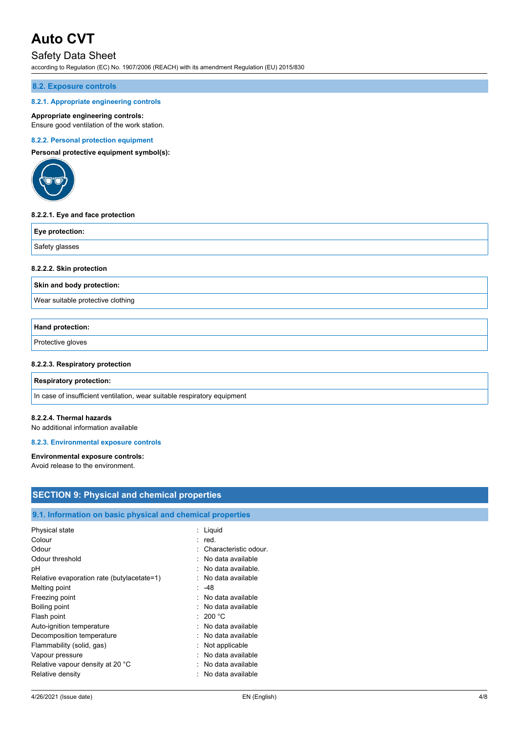# Safety Data Sheet

according to Regulation (EC) No. 1907/2006 (REACH) with its amendment Regulation (EU) 2015/830

### **8.2. Exposure controls**

#### **8.2.1. Appropriate engineering controls**

#### **Appropriate engineering controls:**

Ensure good ventilation of the work station.

#### **8.2.2. Personal protection equipment**

**Personal protective equipment symbol(s):**



#### **8.2.2.1. Eye and face protection**

| Eye protection: |  |
|-----------------|--|
| Safety glasses  |  |

#### **8.2.2.2. Skin protection**

**Skin and body protection:**

Wear suitable protective clothing

### **Hand protection:**

Protective gloves

### **8.2.2.3. Respiratory protection**

#### **Respiratory protection:**

In case of insufficient ventilation, wear suitable respiratory equipment

Relative density **in the case of the COV**  $\sim$  No data available

#### **8.2.2.4. Thermal hazards**

No additional information available

#### **8.2.3. Environmental exposure controls**

#### **Environmental exposure controls:**

Avoid release to the environment.

| <b>SECTION 9: Physical and chemical properties</b>         |                         |  |
|------------------------------------------------------------|-------------------------|--|
|                                                            |                         |  |
| 9.1. Information on basic physical and chemical properties |                         |  |
| Physical state                                             | : Liquid                |  |
| Colour                                                     | $:$ red.                |  |
| Odour                                                      | : Characteristic odour. |  |
| Odour threshold                                            | : No data available     |  |
| рH                                                         | : No data available.    |  |
| Relative evaporation rate (butylacetate=1)                 | : No data available     |  |
| Melting point                                              | $: -48$                 |  |
| Freezing point                                             | No data available       |  |
| Boiling point                                              | : No data available     |  |
| Flash point                                                | : 200 °C                |  |
| Auto-ignition temperature                                  | : No data available     |  |
| Decomposition temperature                                  | : No data available     |  |
| Flammability (solid, gas)                                  | : Not applicable        |  |
| Vapour pressure                                            | No data available       |  |
| Relative vapour density at 20 °C                           | : No data available     |  |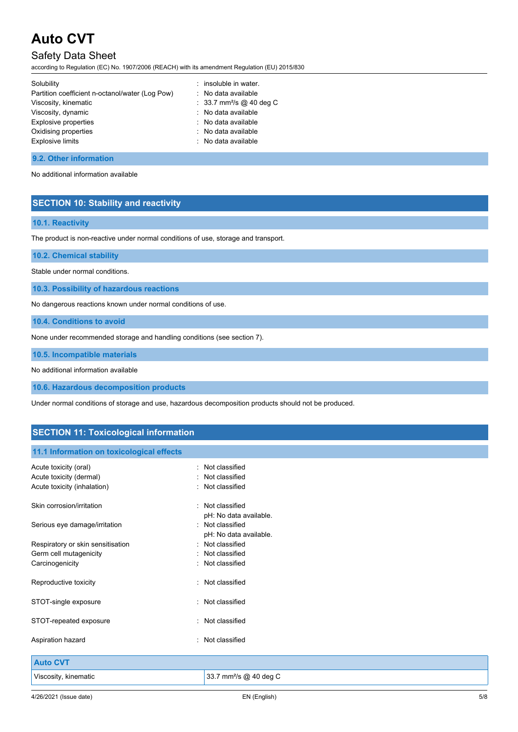# Safety Data Sheet

according to Regulation (EC) No. 1907/2006 (REACH) with its amendment Regulation (EU) 2015/830

| Solubility                                      | : insoluble in water.                |
|-------------------------------------------------|--------------------------------------|
| Partition coefficient n-octanol/water (Log Pow) | : No data available                  |
| Viscosity, kinematic                            | : 33.7 mm <sup>2</sup> /s @ 40 deg C |
| Viscosity, dynamic                              | : No data available                  |
| <b>Explosive properties</b>                     | : No data available                  |
| Oxidising properties                            | : No data available                  |
| <b>Explosive limits</b>                         | : No data available                  |
|                                                 |                                      |

### **9.2. Other information**

No additional information available

# **SECTION 10: Stability and reactivity**

## **10.1. Reactivity**

The product is non-reactive under normal conditions of use, storage and transport.

**10.2. Chemical stability**

Stable under normal conditions.

**10.3. Possibility of hazardous reactions**

No dangerous reactions known under normal conditions of use.

**10.4. Conditions to avoid**

None under recommended storage and handling conditions (see section 7).

**10.5. Incompatible materials**

No additional information available

**10.6. Hazardous decomposition products**

Under normal conditions of storage and use, hazardous decomposition products should not be produced.

# **SECTION 11: Toxicological information**

## **11.1 Information on toxicological effects**

| Not classified<br>Not classified<br>: Not classified                 |
|----------------------------------------------------------------------|
| : Not classified                                                     |
| pH: No data available.<br>: Not classified<br>pH: No data available. |
| : Not classified                                                     |
| : Not classified                                                     |
| : Not classified                                                     |
| : Not classified                                                     |
| : Not classified                                                     |
| : Not classified                                                     |
| : Not classified                                                     |
|                                                                      |
|                                                                      |
| 33.7 mm <sup>2</sup> /s @ 40 deg C                                   |
|                                                                      |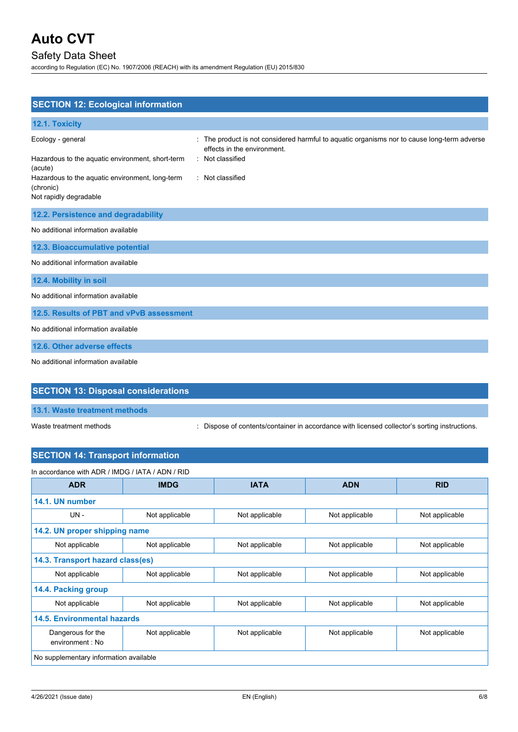# Safety Data Sheet

according to Regulation (EC) No. 1907/2006 (REACH) with its amendment Regulation (EU) 2015/830

| <b>SECTION 12: Ecological information</b>                                                                                                        |                                                                                                                                                                |
|--------------------------------------------------------------------------------------------------------------------------------------------------|----------------------------------------------------------------------------------------------------------------------------------------------------------------|
| 12.1. Toxicity                                                                                                                                   |                                                                                                                                                                |
| Ecology - general<br>Hazardous to the aquatic environment, short-term<br>(acute)<br>Hazardous to the aquatic environment, long-term<br>(chronic) | The product is not considered harmful to aquatic organisms nor to cause long-term adverse<br>effects in the environment.<br>Not classified<br>: Not classified |
| Not rapidly degradable                                                                                                                           |                                                                                                                                                                |
| 12.2. Persistence and degradability                                                                                                              |                                                                                                                                                                |
| No additional information available                                                                                                              |                                                                                                                                                                |
| 12.3. Bioaccumulative potential                                                                                                                  |                                                                                                                                                                |
| No additional information available                                                                                                              |                                                                                                                                                                |
| 12.4. Mobility in soil                                                                                                                           |                                                                                                                                                                |
| No additional information available                                                                                                              |                                                                                                                                                                |
| 12.5. Results of PBT and vPvB assessment                                                                                                         |                                                                                                                                                                |
| No additional information available                                                                                                              |                                                                                                                                                                |
| 12.6. Other adverse effects                                                                                                                      |                                                                                                                                                                |
| No additional information available                                                                                                              |                                                                                                                                                                |
| <b>SECTION 13: Disposal considerations</b>                                                                                                       |                                                                                                                                                                |

**13.1. Waste treatment methods**

Waste treatment methods : Dispose of contents/container in accordance with licensed collector's sorting instructions.

# **SECTION 14: Transport information**

| In accordance with ADR / IMDG / IATA / ADN / RID |                |                |                |                |  |
|--------------------------------------------------|----------------|----------------|----------------|----------------|--|
| <b>ADR</b>                                       | <b>IMDG</b>    | <b>IATA</b>    | <b>ADN</b>     | <b>RID</b>     |  |
| 14.1. UN number                                  |                |                |                |                |  |
| $UN -$                                           | Not applicable | Not applicable | Not applicable | Not applicable |  |
| 14.2. UN proper shipping name                    |                |                |                |                |  |
| Not applicable                                   | Not applicable | Not applicable | Not applicable | Not applicable |  |
| 14.3. Transport hazard class(es)                 |                |                |                |                |  |
| Not applicable                                   | Not applicable | Not applicable | Not applicable | Not applicable |  |
| 14.4. Packing group                              |                |                |                |                |  |
| Not applicable                                   | Not applicable | Not applicable | Not applicable | Not applicable |  |
| 14.5. Environmental hazards                      |                |                |                |                |  |
| Dangerous for the<br>environment: No             | Not applicable | Not applicable | Not applicable | Not applicable |  |
| No supplementary information available           |                |                |                |                |  |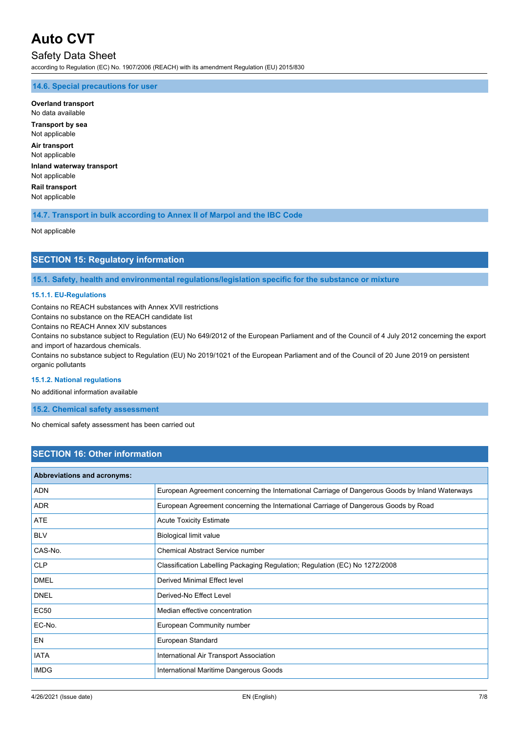# Safety Data Sheet

according to Regulation (EC) No. 1907/2006 (REACH) with its amendment Regulation (EU) 2015/830

### **14.6. Special precautions for user**

**Overland transport** No data available **Transport by sea** Not applicable **Air transport** Not applicable **Inland waterway transport** Not applicable **Rail transport** Not applicable

## **14.7. Transport in bulk according to Annex II of Marpol and the IBC Code**

Not applicable

## **SECTION 15: Regulatory information**

**15.1. Safety, health and environmental regulations/legislation specific for the substance or mixture**

### **15.1.1. EU-Regulations**

Contains no REACH substances with Annex XVII restrictions

Contains no substance on the REACH candidate list

Contains no REACH Annex XIV substances

Contains no substance subject to Regulation (EU) No 649/2012 of the European Parliament and of the Council of 4 July 2012 concerning the export and import of hazardous chemicals.

Contains no substance subject to Regulation (EU) No 2019/1021 of the European Parliament and of the Council of 20 June 2019 on persistent organic pollutants

#### **15.1.2. National regulations**

No additional information available

**15.2. Chemical safety assessment**

No chemical safety assessment has been carried out

## **SECTION 16: Other information**

| <b>Abbreviations and acronyms:</b> |                                                                                                 |
|------------------------------------|-------------------------------------------------------------------------------------------------|
| <b>ADN</b>                         | European Agreement concerning the International Carriage of Dangerous Goods by Inland Waterways |
| <b>ADR</b>                         | European Agreement concerning the International Carriage of Dangerous Goods by Road             |
| <b>ATE</b>                         | <b>Acute Toxicity Estimate</b>                                                                  |
| <b>BLV</b>                         | Biological limit value                                                                          |
| CAS-No.                            | Chemical Abstract Service number                                                                |
| <b>CLP</b>                         | Classification Labelling Packaging Regulation; Regulation (EC) No 1272/2008                     |
| <b>DMEL</b>                        | Derived Minimal Effect level                                                                    |
| <b>DNEL</b>                        | Derived-No Effect Level                                                                         |
| <b>EC50</b>                        | Median effective concentration                                                                  |
| EC-No.                             | European Community number                                                                       |
| EN                                 | European Standard                                                                               |
| <b>IATA</b>                        | International Air Transport Association                                                         |
| <b>IMDG</b>                        | International Maritime Dangerous Goods                                                          |